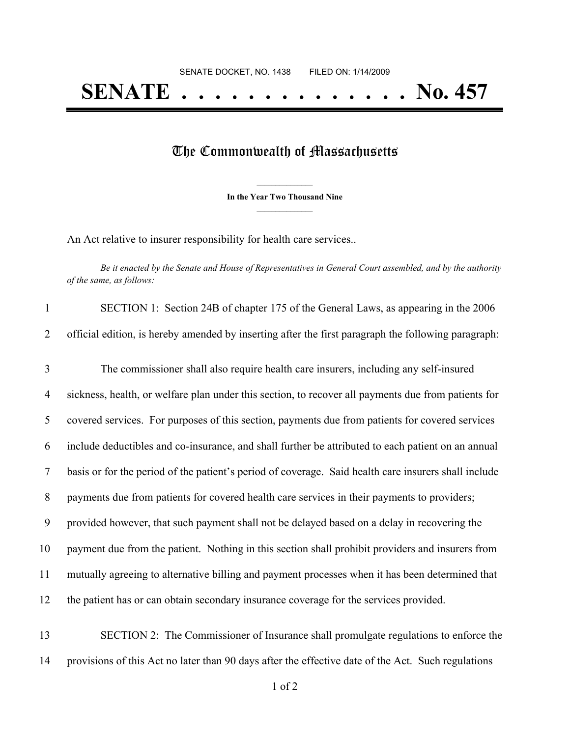## **SENATE . . . . . . . . . . . . . . No. 457**

## The Commonwealth of Massachusetts

**\_\_\_\_\_\_\_\_\_\_\_\_\_\_\_ In the Year Two Thousand Nine \_\_\_\_\_\_\_\_\_\_\_\_\_\_\_**

An Act relative to insurer responsibility for health care services..

Be it enacted by the Senate and House of Representatives in General Court assembled, and by the authority *of the same, as follows:*

| $\mathbf{1}$   | SECTION 1: Section 24B of chapter 175 of the General Laws, as appearing in the 2006                  |
|----------------|------------------------------------------------------------------------------------------------------|
| 2              | official edition, is hereby amended by inserting after the first paragraph the following paragraph:  |
| 3              | The commissioner shall also require health care insurers, including any self-insured                 |
| $\overline{4}$ | sickness, health, or welfare plan under this section, to recover all payments due from patients for  |
| 5              | covered services. For purposes of this section, payments due from patients for covered services      |
| 6              | include deductibles and co-insurance, and shall further be attributed to each patient on an annual   |
| $\tau$         | basis or for the period of the patient's period of coverage. Said health care insurers shall include |
| 8              | payments due from patients for covered health care services in their payments to providers;          |
| 9              | provided however, that such payment shall not be delayed based on a delay in recovering the          |
| 10             | payment due from the patient. Nothing in this section shall prohibit providers and insurers from     |
| 11             | mutually agreeing to alternative billing and payment processes when it has been determined that      |
| 12             | the patient has or can obtain secondary insurance coverage for the services provided.                |
| 13             | SECTION 2: The Commissioner of Insurance shall promulgate regulations to enforce the                 |

14 provisions of this Act no later than 90 days after the effective date of the Act. Such regulations